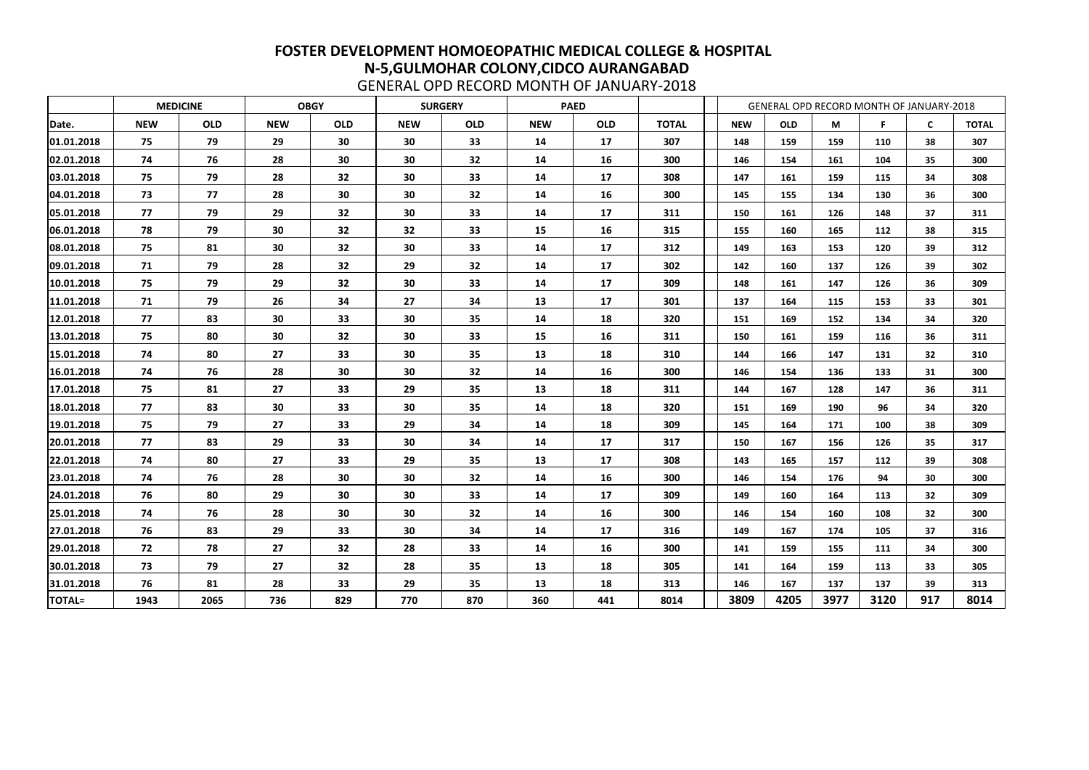|               |            | <b>MEDICINE</b> |            | <b>OBGY</b> |                 | <b>SURGERY</b> |            | <b>PAED</b> |              |            | GENERAL OPD RECORD MONTH OF JANUARY-2018 |      |      |     |              |
|---------------|------------|-----------------|------------|-------------|-----------------|----------------|------------|-------------|--------------|------------|------------------------------------------|------|------|-----|--------------|
| Date.         | <b>NEW</b> | <b>OLD</b>      | <b>NEW</b> | <b>OLD</b>  | <b>NEW</b>      | <b>OLD</b>     | <b>NEW</b> | <b>OLD</b>  | <b>TOTAL</b> | <b>NEW</b> | <b>OLD</b>                               | M    | F.   | C   | <b>TOTAL</b> |
| 01.01.2018    | 75         | 79              | 29         | 30          | 30              | 33             | 14         | 17          | 307          | 148        | 159                                      | 159  | 110  | 38  | 307          |
| 02.01.2018    | 74         | 76              | 28         | 30          | 30              | 32             | 14         | 16          | 300          | 146        | 154                                      | 161  | 104  | 35  | 300          |
| 03.01.2018    | 75         | 79              | 28         | 32          | 30              | 33             | 14         | 17          | 308          | 147        | 161                                      | 159  | 115  | 34  | 308          |
| 04.01.2018    | 73         | 77              | 28         | 30          | 30              | 32             | 14         | <b>16</b>   | 300          | 145        | 155                                      | 134  | 130  | 36  | 300          |
| 05.01.2018    | 77         | 79              | 29         | 32          | 30              | 33             | 14         | 17          | 311          | 150        | 161                                      | 126  | 148  | 37  | 311          |
| 06.01.2018    | 78         | 79              | 30         | 32          | 32              | 33             | 15         | 16          | 315          | 155        | 160                                      | 165  | 112  | 38  | 315          |
| 08.01.2018    | 75         | 81              | 30         | 32          | 30              | 33             | 14         | 17          | 312          | 149        | 163                                      | 153  | 120  | 39  | 312          |
| 09.01.2018    | 71         | 79              | 28         | 32          | 29              | 32             | 14         | 17          | 302          | 142        | 160                                      | 137  | 126  | 39  | 302          |
| 10.01.2018    | 75         | 79              | 29         | 32          | 30              | 33             | 14         | 17          | 309          | 148        | 161                                      | 147  | 126  | 36  | 309          |
| 11.01.2018    | 71         | 79              | 26         | 34          | 27              | 34             | 13         | 17          | 301          | 137        | 164                                      | 115  | 153  | 33  | 301          |
| 12.01.2018    | 77         | 83              | 30         | 33          | 30              | 35             | 14         | 18          | 320          | 151        | 169                                      | 152  | 134  | 34  | 320          |
| 13.01.2018    | 75         | 80              | 30         | 32          | 30              | 33             | 15         | 16          | 311          | 150        | 161                                      | 159  | 116  | 36  | 311          |
| 15.01.2018    | 74         | 80              | 27         | 33          | 30              | 35             | 13         | 18          | 310          | 144        | 166                                      | 147  | 131  | 32  | 310          |
| 16.01.2018    | 74         | 76              | 28         | 30          | 30              | 32             | 14         | 16          | 300          | 146        | 154                                      | 136  | 133  | 31  | 300          |
| 17.01.2018    | 75         | 81              | 27         | 33          | 29              | 35             | 13         | 18          | 311          | 144        | 167                                      | 128  | 147  | 36  | 311          |
| 18.01.2018    | 77         | 83              | 30         | 33          | 30              | 35             | 14         | 18          | 320          | 151        | 169                                      | 190  | 96   | 34  | 320          |
| 19.01.2018    | 75         | 79              | 27         | 33          | 29              | 34             | 14         | 18          | 309          | 145        | 164                                      | 171  | 100  | 38  | 309          |
| 20.01.2018    | 77         | 83              | 29         | 33          | 30              | 34             | 14         | 17          | 317          | 150        | 167                                      | 156  | 126  | 35  | 317          |
| 22.01.2018    | 74         | 80              | 27         | 33          | 29              | 35             | 13         | 17          | 308          | 143        | 165                                      | 157  | 112  | 39  | 308          |
| 23.01.2018    | 74         | 76              | 28         | 30          | 30              | 32             | 14         | 16          | 300          | 146        | 154                                      | 176  | 94   | 30  | 300          |
| 24.01.2018    | 76         | 80              | 29         | 30          | 30              | 33             | 14         | 17          | 309          | 149        | 160                                      | 164  | 113  | 32  | 309          |
| 25.01.2018    | 74         | 76              | 28         | 30          | 30              | 32             | 14         | 16          | 300          | 146        | 154                                      | 160  | 108  | 32  | 300          |
| 27.01.2018    | 76         | 83              | 29         | 33          | 30 <sub>o</sub> | 34             | 14         | 17          | 316          | 149        | 167                                      | 174  | 105  | 37  | 316          |
| 29.01.2018    | 72         | 78              | 27         | 32          | 28              | 33             | 14         | 16          | 300          | 141        | 159                                      | 155  | 111  | 34  | 300          |
| 30.01.2018    | 73         | 79              | 27         | 32          | 28              | 35             | 13         | 18          | 305          | 141        | 164                                      | 159  | 113  | 33  | 305          |
| 31.01.2018    | 76         | 81              | 28         | 33          | 29              | 35             | 13         | 18          | 313          | 146        | 167                                      | 137  | 137  | 39  | 313          |
| <b>TOTAL=</b> | 1943       | 2065            | 736        | 829         | 770             | 870            | 360        | 441         | 8014         | 3809       | 4205                                     | 3977 | 3120 | 917 | 8014         |

GENERAL OPD RECORD MONTH OF JANUARY-2018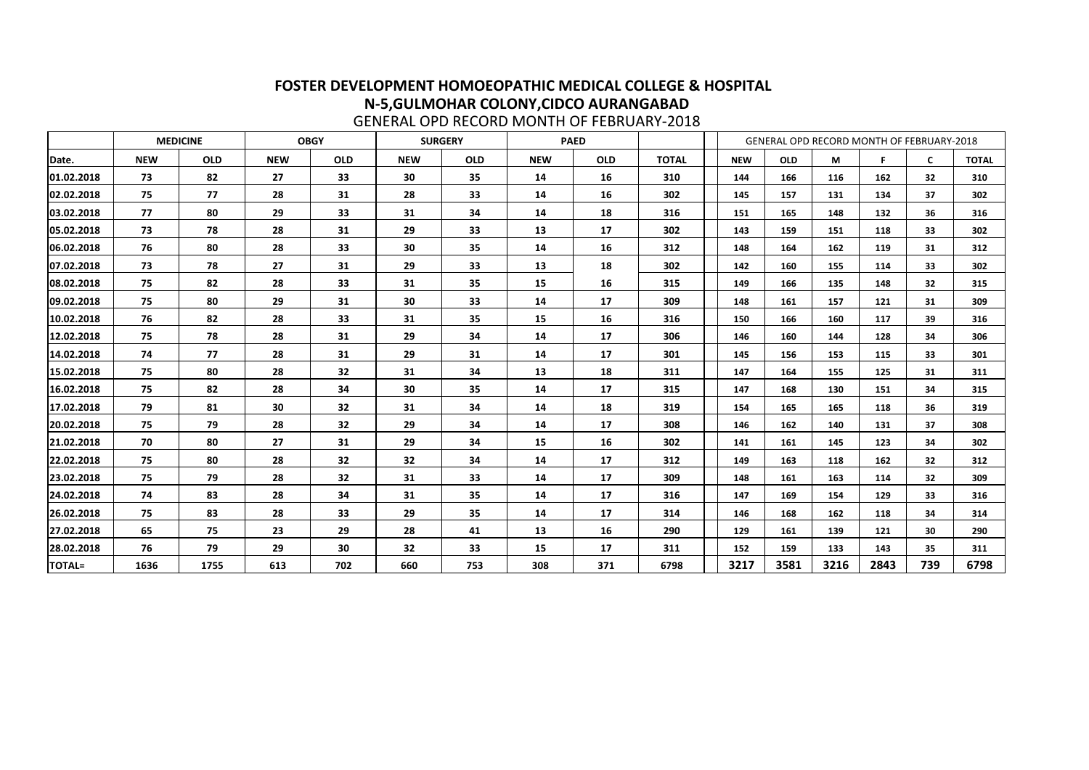|               |            | <b>MEDICINE</b> |            | <b>OBGY</b>                                          |     | <b>SURGERY</b> |     | <b>PAED</b> |              |            | GENERAL OPD RECORD MONTH OF FEBRUARY-2018 |      |      |              |              |
|---------------|------------|-----------------|------------|------------------------------------------------------|-----|----------------|-----|-------------|--------------|------------|-------------------------------------------|------|------|--------------|--------------|
| Date.         | <b>NEW</b> | <b>OLD</b>      | <b>NEW</b> | <b>OLD</b><br><b>NEW</b><br><b>OLD</b><br><b>NEW</b> |     |                |     |             | <b>TOTAL</b> | <b>NEW</b> | <b>OLD</b>                                | M    | F    | $\mathsf{C}$ | <b>TOTAL</b> |
| 01.02.2018    | 73         | 82              | 27         | 33                                                   | 30  | 35             | 14  | 16          | 310          | 144        | 166                                       | 116  | 162  | 32           | 310          |
| 02.02.2018    | 75         | 77              | 28         | 31                                                   | 28  | 33             | 14  | 16          | 302          | 145        | 157                                       | 131  | 134  | 37           | 302          |
| 03.02.2018    | 77         | 80              | 29         | 33                                                   | 31  | 34             | 14  | 18          | 316          | 151        | 165                                       | 148  | 132  | 36           | 316          |
| 05.02.2018    | 73         | 78              | 28         | 31                                                   | 29  | 33             | 13  | 17          | 302          | 143        | 159                                       | 151  | 118  | 33           | 302          |
| 06.02.2018    | 76         | 80              | 28         | 33                                                   | 30  | 35             | 14  | 16          | 312          | 148        | 164                                       | 162  | 119  | 31           | 312          |
| 07.02.2018    | 73         | 78              | 27         | 31                                                   | 29  | 33             | 13  | 18          | 302          | 142        | 160                                       | 155  | 114  | 33           | 302          |
| 08.02.2018    | 75         | 82              | 28         | 33                                                   | 31  | 35             | 15  | 16          | 315          | 149        | 166                                       | 135  | 148  | 32           | 315          |
| 09.02.2018    | 75         | 80              | 29         | 31                                                   | 30  | 33             | 14  | 17          | 309          | 148        | 161                                       | 157  | 121  | 31           | 309          |
| 10.02.2018    | 76         | 82              | 28         | 33                                                   | 31  | 35             | 15  | 16          | 316          | 150        | 166                                       | 160  | 117  | 39           | 316          |
| 12.02.2018    | 75         | 78              | 28         | 31                                                   | 29  | 34             | 14  | 17          | 306          | 146        | 160                                       | 144  | 128  | 34           | 306          |
| 14.02.2018    | 74         | 77              | 28         | 31                                                   | 29  | 31             | 14  | 17          | 301          | 145        | 156                                       | 153  | 115  | 33           | 301          |
| 15.02.2018    | 75         | 80              | 28         | 32                                                   | 31  | 34             | 13  | 18          | 311          | 147        | 164                                       | 155  | 125  | 31           | 311          |
| 16.02.2018    | 75         | 82              | 28         | 34                                                   | 30  | 35             | 14  | 17          | 315          | 147        | 168                                       | 130  | 151  | 34           | 315          |
| 17.02.2018    | 79         | 81              | 30         | 32                                                   | 31  | 34             | 14  | 18          | 319          | 154        | 165                                       | 165  | 118  | 36           | 319          |
| 20.02.2018    | 75         | 79              | 28         | 32                                                   | 29  | 34             | 14  | 17          | 308          | 146        | 162                                       | 140  | 131  | 37           | 308          |
| 21.02.2018    | 70         | 80              | 27         | 31                                                   | 29  | 34             | 15  | 16          | 302          | 141        | 161                                       | 145  | 123  | 34           | 302          |
| 22.02.2018    | 75         | 80              | 28         | 32                                                   | 32  | 34             | 14  | 17          | 312          | 149        | 163                                       | 118  | 162  | 32           | 312          |
| 23.02.2018    | 75         | 79              | 28         | 32                                                   | 31  | 33             | 14  | 17          | 309          | 148        | 161                                       | 163  | 114  | 32           | 309          |
| 24.02.2018    | 74         | 83              | 28         | 34                                                   | 31  | 35             | 14  | 17          | 316          | 147        | 169                                       | 154  | 129  | 33           | 316          |
| 26.02.2018    | 75         | 83              | 28         | 33                                                   | 29  | 35             | 14  | 17          | 314          | 146        | 168                                       | 162  | 118  | 34           | 314          |
| 27.02.2018    | 65         | 75              | 23         | 29                                                   | 28  | 41             | 13  | 16          | 290          | 129        | 161                                       | 139  | 121  | 30           | 290          |
| 28.02.2018    | 76         | 79              | 29         | 30                                                   | 32  | 33             | 15  | 17          | 311          | 152        | 159                                       | 133  | 143  | 35           | 311          |
| <b>TOTAL=</b> | 1636       | 1755            | 613        | 702                                                  | 660 | 753            | 308 | 371         | 6798         | 3217       | 3581                                      | 3216 | 2843 | 739          | 6798         |

GENERAL OPD RECORD MONTH OF FEBRUARY-2018

## **FOSTER DEVELOPMENT HOMOEOPATHIC MEDICAL COLLEGE & HOSPITAL N-5,GULMOHAR COLONY,CIDCO AURANGABAD**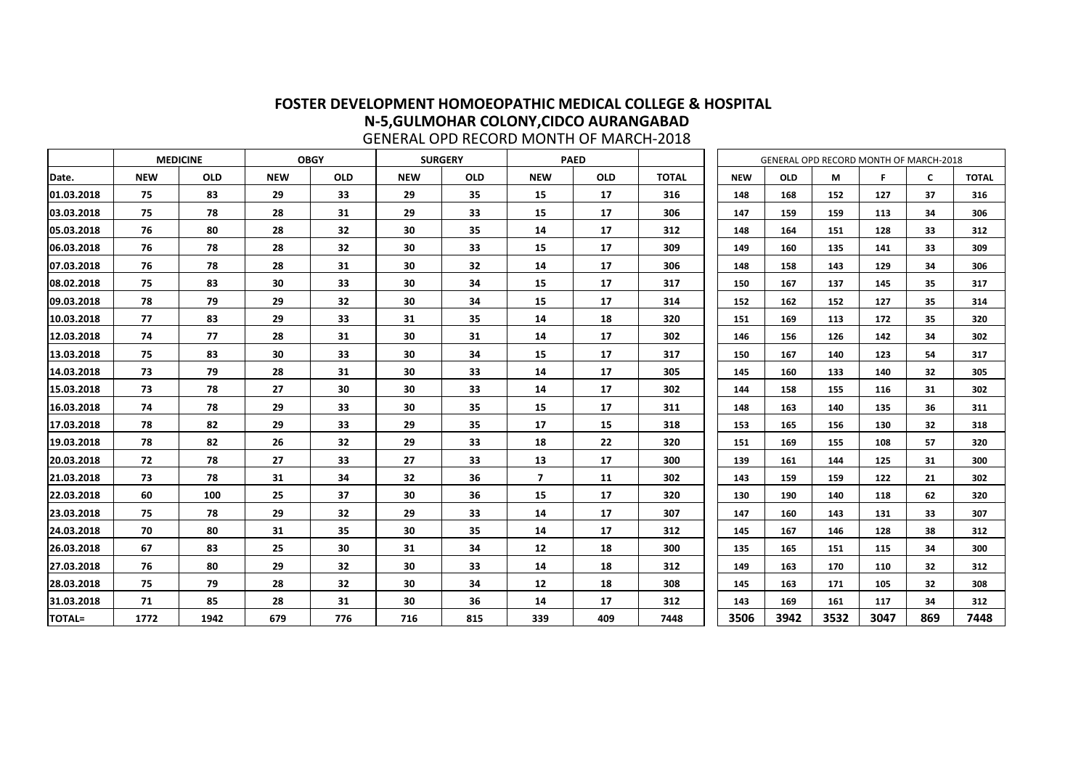|               | <u>ULIVENAL OI D'INLOUND MIONTHI OI IMANOITZUZU</u> |                 |            |             |            |                |                         |             |              |            |            |      |                                        |     |              |
|---------------|-----------------------------------------------------|-----------------|------------|-------------|------------|----------------|-------------------------|-------------|--------------|------------|------------|------|----------------------------------------|-----|--------------|
|               |                                                     | <b>MEDICINE</b> |            | <b>OBGY</b> |            | <b>SURGERY</b> |                         | <b>PAED</b> |              |            |            |      | GENERAL OPD RECORD MONTH OF MARCH-2018 |     |              |
| Date.         | <b>NEW</b>                                          | <b>OLD</b>      | <b>NEW</b> | <b>OLD</b>  | <b>NEW</b> | <b>OLD</b>     | <b>NEW</b>              | <b>OLD</b>  | <b>TOTAL</b> | <b>NEW</b> | <b>OLD</b> | M    | F.                                     | C   | <b>TOTAL</b> |
| 01.03.2018    | 75                                                  | 83              | 29         | 33          | 29         | 35             | 15                      | 17          | 316          | 148        | 168        | 152  | 127                                    | 37  | 316          |
| 03.03.2018    | 75                                                  | 78              | 28         | 31          | 29         | 33             | 15                      | 17          | 306          | 147        | 159        | 159  | 113                                    | 34  | 306          |
| 05.03.2018    | 76                                                  | 80              | 28         | 32          | 30         | 35             | 14                      | 17          | 312          | 148        | 164        | 151  | 128                                    | 33  | 312          |
| 06.03.2018    | 76                                                  | 78              | 28         | 32          | 30         | 33             | 15                      | 17          | 309          | 149        | 160        | 135  | 141                                    | 33  | 309          |
| 07.03.2018    | 76                                                  | 78              | 28         | 31          | 30         | 32             | 14                      | 17          | 306          | 148        | 158        | 143  | 129                                    | 34  | 306          |
| 08.02.2018    | 75                                                  | 83              | 30         | 33          | 30         | 34             | 15                      | 17          | 317          | 150        | 167        | 137  | 145                                    | 35  | 317          |
| 09.03.2018    | 78                                                  | 79              | 29         | 32          | 30         | 34             | 15                      | 17          | 314          | 152        | 162        | 152  | 127                                    | 35  | 314          |
| 10.03.2018    | 77                                                  | 83              | 29         | 33          | 31         | 35             | 14                      | 18          | 320          | 151        | 169        | 113  | 172                                    | 35  | 320          |
| 12.03.2018    | 74                                                  | 77              | 28         | 31          | 30         | 31             | 14                      | 17          | 302          | 146        | 156        | 126  | 142                                    | 34  | 302          |
| 13.03.2018    | 75                                                  | 83              | 30         | 33          | 30         | 34             | 15                      | 17          | 317          | 150        | 167        | 140  | 123                                    | 54  | 317          |
| 14.03.2018    | 73                                                  | 79              | 28         | 31          | 30         | 33             | 14                      | 17          | 305          | 145        | 160        | 133  | 140                                    | 32  | 305          |
| 15.03.2018    | 73                                                  | 78              | 27         | 30          | 30         | 33             | 14                      | 17          | 302          | 144        | 158        | 155  | 116                                    | 31  | 302          |
| 16.03.2018    | 74                                                  | 78              | 29         | 33          | 30         | 35             | 15                      | 17          | 311          | 148        | 163        | 140  | 135                                    | 36  | 311          |
| 17.03.2018    | 78                                                  | 82              | 29         | 33          | 29         | 35             | 17                      | 15          | 318          | 153        | 165        | 156  | 130                                    | 32  | 318          |
| 19.03.2018    | 78                                                  | 82              | 26         | 32          | 29         | 33             | 18                      | 22          | 320          | 151        | 169        | 155  | 108                                    | 57  | 320          |
| 20.03.2018    | 72                                                  | 78              | 27         | 33          | 27         | 33             | 13                      | 17          | 300          | 139        | 161        | 144  | 125                                    | 31  | 300          |
| 21.03.2018    | 73                                                  | 78              | 31         | 34          | 32         | 36             | $\overline{\mathbf{z}}$ | <b>11</b>   | 302          | 143        | 159        | 159  | 122                                    | 21  | 302          |
| 22.03.2018    | 60                                                  | 100             | 25         | 37          | 30         | 36             | 15                      | 17          | 320          | 130        | 190        | 140  | 118                                    | 62  | 320          |
| 23.03.2018    | 75                                                  | 78              | 29         | 32          | 29         | 33             | 14                      | 17          | 307          | 147        | 160        | 143  | 131                                    | 33  | 307          |
| 24.03.2018    | 70                                                  | 80              | 31         | 35          | 30         | 35             | 14                      | 17          | 312          | 145        | 167        | 146  | 128                                    | 38  | 312          |
| 26.03.2018    | 67                                                  | 83              | 25         | 30          | 31         | 34             | 12                      | 18          | 300          | 135        | 165        | 151  | 115                                    | 34  | 300          |
| 27.03.2018    | 76                                                  | 80              | 29         | 32          | 30         | 33             | 14                      | 18          | 312          | 149        | 163        | 170  | 110                                    | 32  | 312          |
| 28.03.2018    | 75                                                  | 79              | 28         | 32          | 30         | 34             | 12                      | 18          | 308          | 145        | 163        | 171  | 105                                    | 32  | 308          |
| 31.03.2018    | 71                                                  | 85              | 28         | 31          | 30         | 36             | 14                      | 17          | 312          | 143        | 169        | 161  | 117                                    | 34  | 312          |
| <b>TOTAL=</b> | 1772                                                | 1942            | 679        | 776         | 716        | 815            | 339                     | 409         | 7448         | 3506       | 3942       | 3532 | 3047                                   | 869 | 7448         |

GENERAL OPD RECORD MONTH OF MARCH-2018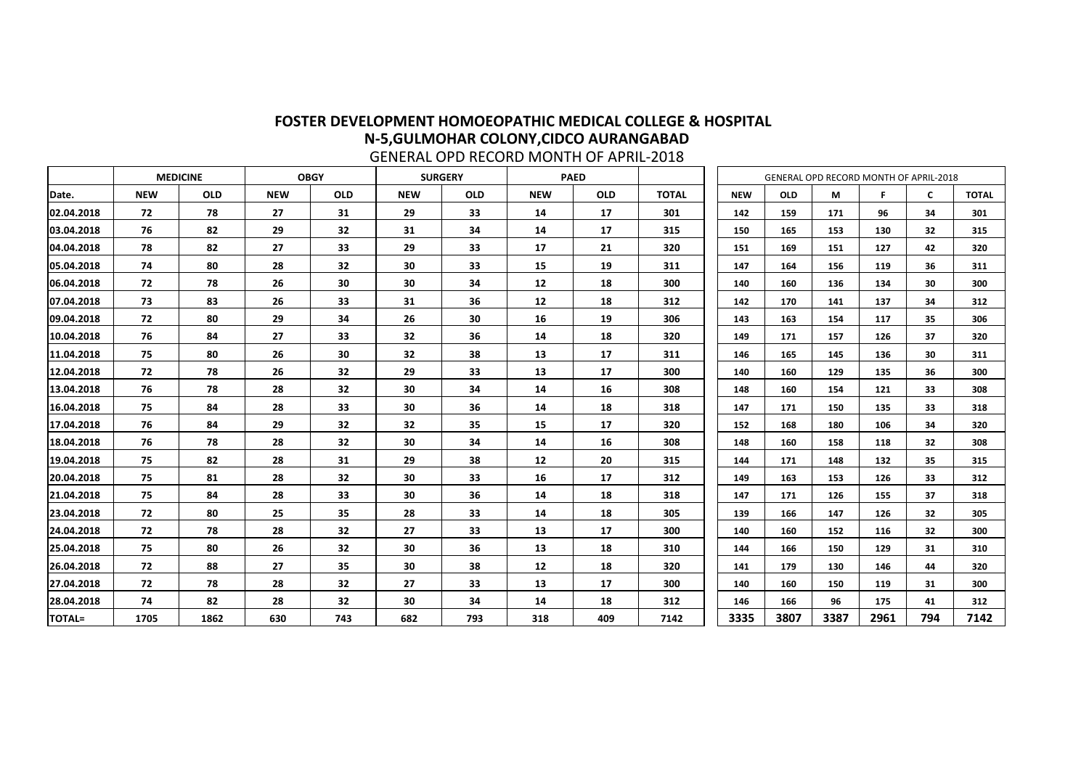|               |            | <b>MEDICINE</b> | <b>OBGY</b> |            |            | <b>SURGERY</b> |            | <b>PAED</b> |              |            | GENERAL OPD RECORD MONTH OF APRIL-2018 |      |      |                 |              |
|---------------|------------|-----------------|-------------|------------|------------|----------------|------------|-------------|--------------|------------|----------------------------------------|------|------|-----------------|--------------|
| Date.         | <b>NEW</b> | <b>OLD</b>      | <b>NEW</b>  | <b>OLD</b> | <b>NEW</b> | <b>OLD</b>     | <b>NEW</b> | <b>OLD</b>  | <b>TOTAL</b> | <b>NEW</b> | <b>OLD</b>                             | M    | F.   | $\mathsf{C}$    | <b>TOTAL</b> |
| 02.04.2018    | 72         | 78              | 27          | 31         | 29         | 33             | 14         | 17          | 301          | 142        | 159                                    | 171  | 96   | 34              | 301          |
| 03.04.2018    | 76         | 82              | 29          | 32         | 31         | 34             | 14         | 17          | 315          | 150        | 165                                    | 153  | 130  | 32              | 315          |
| 04.04.2018    | 78         | 82              | 27          | 33         | 29         | 33             | 17         | 21          | 320          | 151        | 169                                    | 151  | 127  | 42              | 320          |
| 05.04.2018    | 74         | 80              | 28          | 32         | 30         | 33             | 15         | 19          | 311          | 147        | 164                                    | 156  | 119  | 36              | 311          |
| 06.04.2018    | 72         | 78              | 26          | 30         | 30         | 34             | 12         | 18          | 300          | 140        | 160                                    | 136  | 134  | 30              | 300          |
| 07.04.2018    | 73         | 83              | 26          | 33         | 31         | 36             | 12         | 18          | 312          | 142        | 170                                    | 141  | 137  | 34              | 312          |
| 09.04.2018    | 72         | 80              | 29          | 34         | 26         | 30             | 16         | 19          | 306          | 143        | 163                                    | 154  | 117  | 35              | 306          |
| 10.04.2018    | 76         | 84              | 27          | 33         | 32         | 36             | 14         | 18          | 320          | 149        | 171                                    | 157  | 126  | 37              | 320          |
| 11.04.2018    | 75         | 80              | 26          | 30         | 32         | 38             | 13         | 17          | 311          | 146        | 165                                    | 145  | 136  | 30              | 311          |
| 12.04.2018    | 72         | 78              | 26          | 32         | 29         | 33             | 13         | 17          | 300          | 140        | 160                                    | 129  | 135  | 36              | 300          |
| 13.04.2018    | 76         | 78              | 28          | 32         | 30         | 34             | 14         | 16          | 308          | 148        | 160                                    | 154  | 121  | 33              | 308          |
| 16.04.2018    | 75         | 84              | 28          | 33         | 30         | 36             | 14         | 18          | 318          | 147        | 171                                    | 150  | 135  | 33              | 318          |
| 17.04.2018    | 76         | 84              | 29          | 32         | 32         | 35             | 15         | 17          | 320          | 152        | 168                                    | 180  | 106  | 34              | 320          |
| 18.04.2018    | 76         | 78              | 28          | 32         | 30         | 34             | 14         | 16          | 308          | 148        | 160                                    | 158  | 118  | 32              | 308          |
| 19.04.2018    | 75         | 82              | 28          | 31         | 29         | 38             | 12         | 20          | 315          | 144        | 171                                    | 148  | 132  | 35              | 315          |
| 20.04.2018    | 75         | 81              | 28          | 32         | 30         | 33             | 16         | 17          | 312          | 149        | 163                                    | 153  | 126  | 33              | 312          |
| 21.04.2018    | 75         | 84              | 28          | 33         | 30         | 36             | 14         | 18          | 318          | 147        | 171                                    | 126  | 155  | 37              | 318          |
| 23.04.2018    | 72         | 80              | 25          | 35         | 28         | 33             | 14         | 18          | 305          | 139        | 166                                    | 147  | 126  | 32              | 305          |
| 24.04.2018    | 72         | 78              | 28          | 32         | 27         | 33             | 13         | 17          | 300          | 140        | 160                                    | 152  | 116  | 32 <sub>2</sub> | 300          |
| 25.04.2018    | 75         | 80              | 26          | 32         | 30         | 36             | 13         | 18          | 310          | 144        | 166                                    | 150  | 129  | 31              | 310          |
| 26.04.2018    | 72         | 88              | 27          | 35         | 30         | 38             | 12         | 18          | 320          | 141        | 179                                    | 130  | 146  | 44              | 320          |
| 27.04.2018    | 72         | 78              | 28          | 32         | 27         | 33             | 13         | 17          | 300          | 140        | 160                                    | 150  | 119  | 31              | 300          |
| 28.04.2018    | 74         | 82              | 28          | 32         | 30         | 34             | 14         | 18          | 312          | 146        | 166                                    | 96   | 175  | 41              | 312          |
| <b>TOTAL=</b> | 1705       | 1862            | 630         | 743        | 682        | 793            | 318        | 409         | 7142         | 3335       | 3807                                   | 3387 | 2961 | 794             | 7142         |

GENERAL OPD RECORD MONTH OF APRIL-2018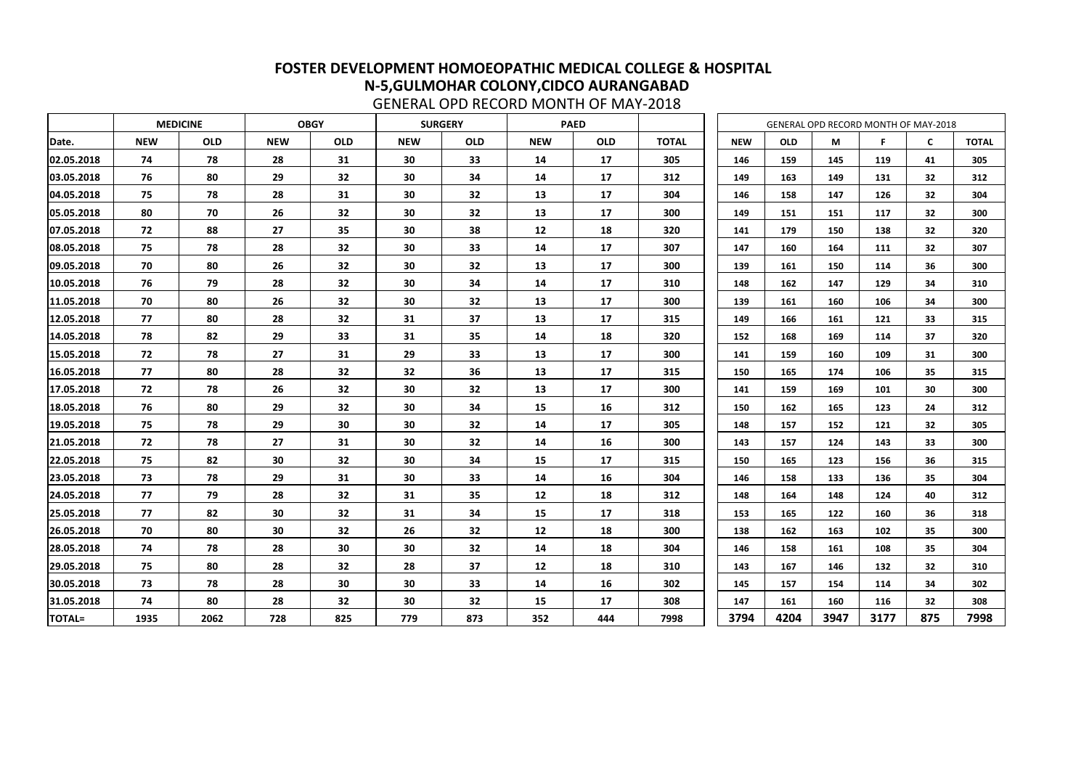|               |            | <b>MEDICINE</b><br><b>OBGY</b> |            |                 |            | <b>SURGERY</b> |                   | <b>PAED</b> |              |            |            |      | GENERAL OPD RECORD MONTH OF MAY-2018 |     |              |
|---------------|------------|--------------------------------|------------|-----------------|------------|----------------|-------------------|-------------|--------------|------------|------------|------|--------------------------------------|-----|--------------|
| Date.         | <b>NEW</b> | <b>OLD</b>                     | <b>NEW</b> | <b>OLD</b>      | <b>NEW</b> | <b>OLD</b>     | <b>NEW</b>        | <b>OLD</b>  | <b>TOTAL</b> | <b>NEW</b> | <b>OLD</b> | M    | F                                    | C   | <b>TOTAL</b> |
| 02.05.2018    | 74         | 78                             | 28         | 31              | 30         | 33             | 14                | 17          | 305          | 146        | 159        | 145  | 119                                  | 41  | 305          |
| 03.05.2018    | 76         | 80                             | 29         | 32 <sub>2</sub> | 30         | 34             | 14                | 17          | 312          | 149        | 163        | 149  | 131                                  | 32  | 312          |
| 04.05.2018    | 75         | 78                             | 28         | 31              | 30         | 32             | 13                | 17          | 304          | 146        | 158        | 147  | 126                                  | 32  | 304          |
| 05.05.2018    | 80         | 70                             | 26         | 32              | 30         | 32             | 13                | 17          | 300          | 149        | 151        | 151  | 117                                  | 32  | 300          |
| 07.05.2018    | 72         | 88                             | 27         | 35              | 30         | 38             | 12                | 18          | 320          | 141        | 179        | 150  | 138                                  | 32  | 320          |
| 08.05.2018    | 75         | 78                             | 28         | 32              | 30         | 33             | 14                | 17          | 307          | 147        | 160        | 164  | 111                                  | 32  | 307          |
| 09.05.2018    | 70         | 80                             | 26         | 32              | 30         | 32             | 13                | 17          | 300          | 139        | 161        | 150  | 114                                  | 36  | 300          |
| 10.05.2018    | 76         | 79                             | 28         | 32              | 30         | 34             | 14                | 17          | 310          | 148        | 162        | 147  | 129                                  | 34  | 310          |
| 11.05.2018    | 70         | 80                             | 26         | 32              | 30         | 32             | 13                | 17          | 300          | 139        | 161        | 160  | 106                                  | 34  | 300          |
| 12.05.2018    | 77         | 80                             | 28         | 32              | 31         | 37             | 13                | 17          | 315          | 149        | 166        | 161  | 121                                  | 33  | 315          |
| 14.05.2018    | 78         | 82                             | 29         | 33              | 31         | 35             | 14                | 18          | 320          | 152        | 168        | 169  | 114                                  | 37  | 320          |
| 15.05.2018    | 72         | 78                             | 27         | 31              | 29         | 33             | 13                | 17          | 300          | 141        | 159        | 160  | 109                                  | 31  | 300          |
| 16.05.2018    | 77         | 80                             | 28         | 32              | 32         | 36             | 13                | 17          | 315          | 150        | 165        | 174  | 106                                  | 35  | 315          |
| 17.05.2018    | 72         | 78                             | 26         | 32              | 30         | 32             | 13                | 17          | 300          | 141        | 159        | 169  | 101                                  | 30  | 300          |
| 18.05.2018    | 76         | 80                             | 29         | 32              | 30         | 34             | 15                | 16          | 312          | 150        | 162        | 165  | 123                                  | 24  | 312          |
| 19.05.2018    | 75         | 78                             | 29         | 30              | 30         | 32             | 14                | 17          | 305          | 148        | 157        | 152  | 121                                  | 32  | 305          |
| 21.05.2018    | 72         | 78                             | 27         | 31              | 30         | 32             | 14                | 16          | 300          | 143        | 157        | 124  | 143                                  | 33  | 300          |
| 22.05.2018    | 75         | 82                             | 30         | 32              | 30         | 34             | 15                | 17          | 315          | 150        | 165        | 123  | 156                                  | 36  | 315          |
| 23.05.2018    | 73         | 78                             | 29         | 31              | 30         | 33             | 14                | 16          | 304          | 146        | 158        | 133  | 136                                  | 35  | 304          |
| 24.05.2018    | 77         | 79                             | 28         | 32              | 31         | 35             | $12 \overline{ }$ | 18          | 312          | 148        | 164        | 148  | 124                                  | 40  | 312          |
| 25.05.2018    | 77         | 82                             | 30         | 32              | 31         | 34             | 15                | 17          | 318          | 153        | 165        | 122  | 160                                  | 36  | 318          |
| 26.05.2018    | 70         | 80                             | 30         | 32              | 26         | 32             | 12                | 18          | 300          | 138        | 162        | 163  | 102                                  | 35  | 300          |
| 28.05.2018    | 74         | 78                             | 28         | 30              | 30         | 32             | 14                | 18          | 304          | 146        | 158        | 161  | 108                                  | 35  | 304          |
| 29.05.2018    | 75         | 80                             | 28         | 32              | 28         | 37             | 12                | 18          | 310          | 143        | 167        | 146  | 132                                  | 32  | 310          |
| 30.05.2018    | 73         | 78                             | 28         | 30              | 30         | 33             | 14                | 16          | 302          | 145        | 157        | 154  | 114                                  | 34  | 302          |
| 31.05.2018    | 74         | 80                             | 28         | 32              | 30         | 32             | 15                | 17          | 308          | 147        | 161        | 160  | 116                                  | 32  | 308          |
| <b>TOTAL=</b> | 1935       | 2062                           | 728        | 825             | 779        | 873            | 352               | 444         | 7998         | 3794       | 4204       | 3947 | 3177                                 | 875 | 7998         |

GENERAL OPD RECORD MONTH OF MAY-2018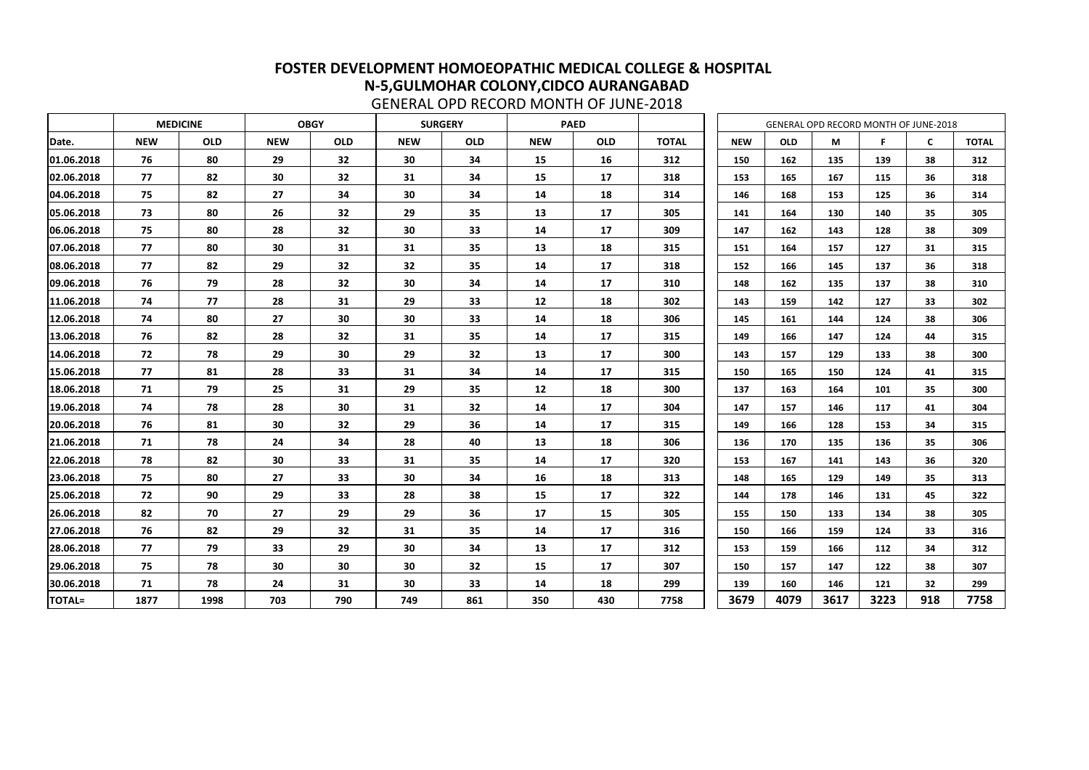|               |            | <b>MEDICINE</b> |            | <b>OBGY</b> |                 | <b>SURGERY</b> |            | <b>PAED</b> |              |            |            |      | GENERAL OPD RECORD MONTH OF JUNE-2018 |                 |              |
|---------------|------------|-----------------|------------|-------------|-----------------|----------------|------------|-------------|--------------|------------|------------|------|---------------------------------------|-----------------|--------------|
| Date.         | <b>NEW</b> | <b>OLD</b>      | <b>NEW</b> | <b>OLD</b>  | <b>NEW</b>      | <b>OLD</b>     | <b>NEW</b> | <b>OLD</b>  | <b>TOTAL</b> | <b>NEW</b> | <b>OLD</b> | M    | F.                                    | $\mathsf{C}$    | <b>TOTAL</b> |
| 01.06.2018    | 76         | 80              | 29         | 32          | 30              | 34             | 15         | 16          | 312          | 150        | 162        | 135  | 139                                   | 38              | 312          |
| 02.06.2018    | 77         | 82              | 30         | 32          | 31              | 34             | 15         | 17          | 318          | 153        | 165        | 167  | 115                                   | 36              | 318          |
| 04.06.2018    | 75         | 82              | 27         | 34          | 30              | 34             | 14         | 18          | 314          | 146        | 168        | 153  | 125                                   | 36              | 314          |
| 05.06.2018    | 73         | 80              | 26         | 32          | 29              | 35             | 13         | 17          | 305          | 141        | 164        | 130  | 140                                   | 35              | 305          |
| 06.06.2018    | 75         | 80              | 28         | 32          | 30              | 33             | 14         | 17          | 309          | 147        | 162        | 143  | 128                                   | 38              | 309          |
| 07.06.2018    | 77         | 80              | 30         | 31          | 31              | 35             | 13         | 18          | 315          | 151        | 164        | 157  | 127                                   | 31              | 315          |
| 08.06.2018    | 77         | 82              | 29         | 32          | 32              | 35             | 14         | 17          | 318          | 152        | 166        | 145  | 137                                   | 36              | 318          |
| 09.06.2018    | 76         | 79              | 28         | 32          | 30              | 34             | 14         | 17          | 310          | 148        | 162        | 135  | 137                                   | 38              | 310          |
| 11.06.2018    | 74         | 77              | 28         | 31          | 29              | 33             | 12         | 18          | 302          | 143        | 159        | 142  | 127                                   | 33              | 302          |
| 12.06.2018    | 74         | 80              | 27         | 30          | 30              | 33             | 14         | 18          | 306          | 145        | 161        | 144  | 124                                   | 38              | 306          |
| 13.06.2018    | 76         | 82              | 28         | 32          | 31              | 35             | 14         | 17          | 315          | 149        | 166        | 147  | 124                                   | 44              | 315          |
| 14.06.2018    | 72         | 78              | 29         | 30          | 29              | 32             | 13         | 17          | 300          | 143        | 157        | 129  | 133                                   | 38              | 300          |
| 15.06.2018    | 77         | 81              | 28         | 33          | 31              | 34             | 14         | 17          | 315          | 150        | 165        | 150  | 124                                   | 41              | 315          |
| 18.06.2018    | 71         | 79              | 25         | 31          | 29              | 35             | 12         | 18          | 300          | 137        | 163        | 164  | 101                                   | 35              | 300          |
| 19.06.2018    | 74         | 78              | 28         | 30          | 31              | 32             | 14         | 17          | 304          | 147        | 157        | 146  | 117                                   | 41              | 304          |
| 20.06.2018    | 76         | 81              | 30         | 32          | 29              | 36             | 14         | 17          | 315          | 149        | 166        | 128  | 153                                   | 34              | 315          |
| 21.06.2018    | 71         | 78              | 24         | 34          | 28              | 40             | 13         | 18          | 306          | 136        | 170        | 135  | 136                                   | 35              | 306          |
| 22.06.2018    | 78         | 82              | 30         | 33          | 31              | 35             | 14         | 17          | 320          | 153        | 167        | 141  | 143                                   | 36              | 320          |
| 23.06.2018    | 75         | 80              | 27         | 33          | 30              | 34             | 16         | 18          | 313          | 148        | 165        | 129  | 149                                   | 35              | 313          |
| 25.06.2018    | 72         | 90              | 29         | 33          | 28              | 38             | 15         | 17          | 322          | 144        | 178        | 146  | 131                                   | 45              | 322          |
| 26.06.2018    | 82         | 70              | 27         | 29          | 29              | 36             | 17         | 15          | 305          | 155        | 150        | 133  | 134                                   | 38              | 305          |
| 27.06.2018    | 76         | 82              | 29         | 32          | 31              | 35             | 14         | 17          | 316          | 150        | 166        | 159  | 124                                   | 33              | 316          |
| 28.06.2018    | 77         | 79              | 33         | 29          | 30 <sub>o</sub> | 34             | 13         | 17          | 312          | 153        | 159        | 166  | 112                                   | 34              | 312          |
| 29.06.2018    | 75         | 78              | 30         | 30          | 30              | 32             | 15         | 17          | 307          | 150        | 157        | 147  | 122                                   | 38              | 307          |
| 30.06.2018    | 71         | 78              | 24         | 31          | 30              | 33             | 14         | 18          | 299          | 139        | 160        | 146  | 121                                   | 32 <sub>2</sub> | 299          |
| <b>TOTAL=</b> | 1877       | 1998            | 703        | 790         | 749             | 861            | 350        | 430         | 7758         | 3679       | 4079       | 3617 | 3223                                  | 918             | 7758         |

GENERAL OPD RECORD MONTH OF JUNE-2018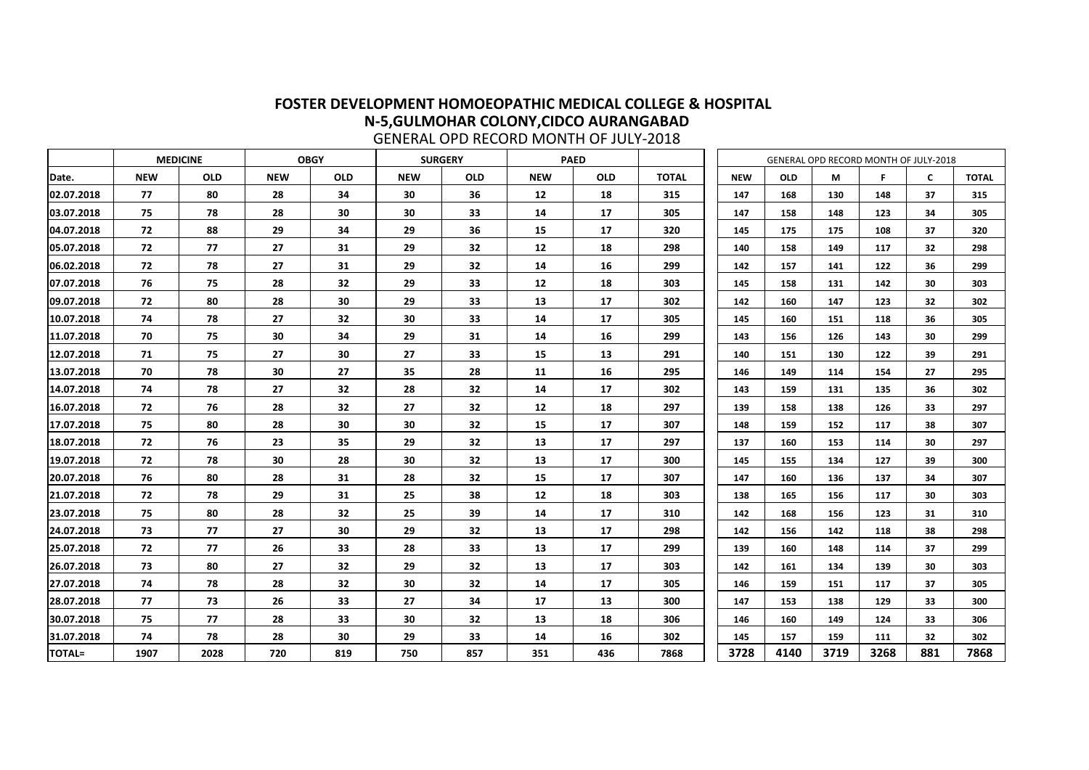|               |            | <b>OBGY</b><br><b>MEDICINE</b> |            |            | <b>SURGERY</b> |            |            | <b>PAED</b> |              |            | GENERAL OPD RECORD MONTH OF JULY-2018 |      |      |     |              |
|---------------|------------|--------------------------------|------------|------------|----------------|------------|------------|-------------|--------------|------------|---------------------------------------|------|------|-----|--------------|
| Date.         | <b>NEW</b> | <b>OLD</b>                     | <b>NEW</b> | <b>OLD</b> | <b>NEW</b>     | <b>OLD</b> | <b>NEW</b> | <b>OLD</b>  | <b>TOTAL</b> | <b>NEW</b> | <b>OLD</b>                            | M    | F    | C   | <b>TOTAL</b> |
| 02.07.2018    | 77         | 80                             | 28         | 34         | 30             | 36         | 12         | 18          | 315          | 147        | 168                                   | 130  | 148  | 37  | 315          |
| 03.07.2018    | 75         | 78                             | 28         | 30         | 30             | 33         | 14         | 17          | 305          | 147        | 158                                   | 148  | 123  | 34  | 305          |
| 04.07.2018    | 72         | 88                             | 29         | 34         | 29             | 36         | 15         | 17          | 320          | 145        | 175                                   | 175  | 108  | 37  | 320          |
| 05.07.2018    | 72         | 77                             | 27         | 31         | 29             | 32         | 12         | 18          | 298          | 140        | 158                                   | 149  | 117  | 32  | 298          |
| 06.02.2018    | 72         | 78                             | 27         | 31         | 29             | 32         | 14         | 16          | 299          | 142        | 157                                   | 141  | 122  | 36  | 299          |
| 07.07.2018    | 76         | 75                             | 28         | 32         | 29             | 33         | 12         | 18          | 303          | 145        | 158                                   | 131  | 142  | 30  | 303          |
| 09.07.2018    | 72         | 80                             | 28         | 30         | 29             | 33         | 13         | 17          | 302          | 142        | 160                                   | 147  | 123  | 32  | 302          |
| 10.07.2018    | 74         | 78                             | 27         | 32         | 30             | 33         | 14         | 17          | 305          | 145        | 160                                   | 151  | 118  | 36  | 305          |
| 11.07.2018    | 70         | 75                             | 30         | 34         | 29             | 31         | 14         | <b>16</b>   | 299          | 143        | 156                                   | 126  | 143  | 30  | 299          |
| 12.07.2018    | 71         | 75                             | 27         | 30         | 27             | 33         | 15         | 13          | 291          | 140        | 151                                   | 130  | 122  | 39  | 291          |
| 13.07.2018    | 70         | 78                             | 30         | 27         | 35             | 28         | 11         | <b>16</b>   | 295          | 146        | 149                                   | 114  | 154  | 27  | 295          |
| 14.07.2018    | 74         | 78                             | 27         | 32         | 28             | 32         | 14         | 17          | 302          | 143        | 159                                   | 131  | 135  | 36  | 302          |
| 16.07.2018    | 72         | 76                             | 28         | 32         | 27             | 32         | 12         | 18          | 297          | 139        | 158                                   | 138  | 126  | 33  | 297          |
| 17.07.2018    | 75         | 80                             | 28         | 30         | 30             | 32         | 15         | 17          | 307          | 148        | 159                                   | 152  | 117  | 38  | 307          |
| 18.07.2018    | 72         | 76                             | 23         | 35         | 29             | 32         | 13         | 17          | 297          | 137        | 160                                   | 153  | 114  | 30  | 297          |
| 19.07.2018    | 72         | 78                             | 30         | 28         | 30             | 32         | 13         | 17          | 300          | 145        | 155                                   | 134  | 127  | 39  | 300          |
| 20.07.2018    | 76         | 80                             | 28         | 31         | 28             | 32         | 15         | 17          | 307          | 147        | 160                                   | 136  | 137  | 34  | 307          |
| 21.07.2018    | 72         | 78                             | 29         | 31         | 25             | 38         | 12         | 18          | 303          | 138        | 165                                   | 156  | 117  | 30  | 303          |
| 23.07.2018    | 75         | 80                             | 28         | 32         | 25             | 39         | 14         | 17          | 310          | 142        | 168                                   | 156  | 123  | 31  | 310          |
| 24.07.2018    | 73         | 77                             | 27         | 30         | 29             | 32         | 13         | 17          | 298          | 142        | 156                                   | 142  | 118  | 38  | 298          |
| 25.07.2018    | 72         | 77                             | 26         | 33         | 28             | 33         | 13         | 17          | 299          | 139        | 160                                   | 148  | 114  | 37  | 299          |
| 26.07.2018    | 73         | 80                             | 27         | 32         | 29             | 32         | 13         | 17          | 303          | 142        | 161                                   | 134  | 139  | 30  | 303          |
| 27.07.2018    | 74         | 78                             | 28         | 32         | 30             | 32         | 14         | 17          | 305          | 146        | 159                                   | 151  | 117  | 37  | 305          |
| 28.07.2018    | 77         | 73                             | 26         | 33         | 27             | 34         | 17         | 13          | 300          | 147        | 153                                   | 138  | 129  | 33  | 300          |
| 30.07.2018    | 75         | 77                             | 28         | 33         | 30             | 32         | 13         | 18          | 306          | 146        | 160                                   | 149  | 124  | 33  | 306          |
| 31.07.2018    | 74         | 78                             | 28         | 30         | 29             | 33         | 14         | 16          | 302          | 145        | 157                                   | 159  | 111  | 32  | 302          |
| <b>TOTAL=</b> | 1907       | 2028                           | 720        | 819        | 750            | 857        | 351        | 436         | 7868         | 3728       | 4140                                  | 3719 | 3268 | 881 | 7868         |

GENERAL OPD RECORD MONTH OF JULY-2018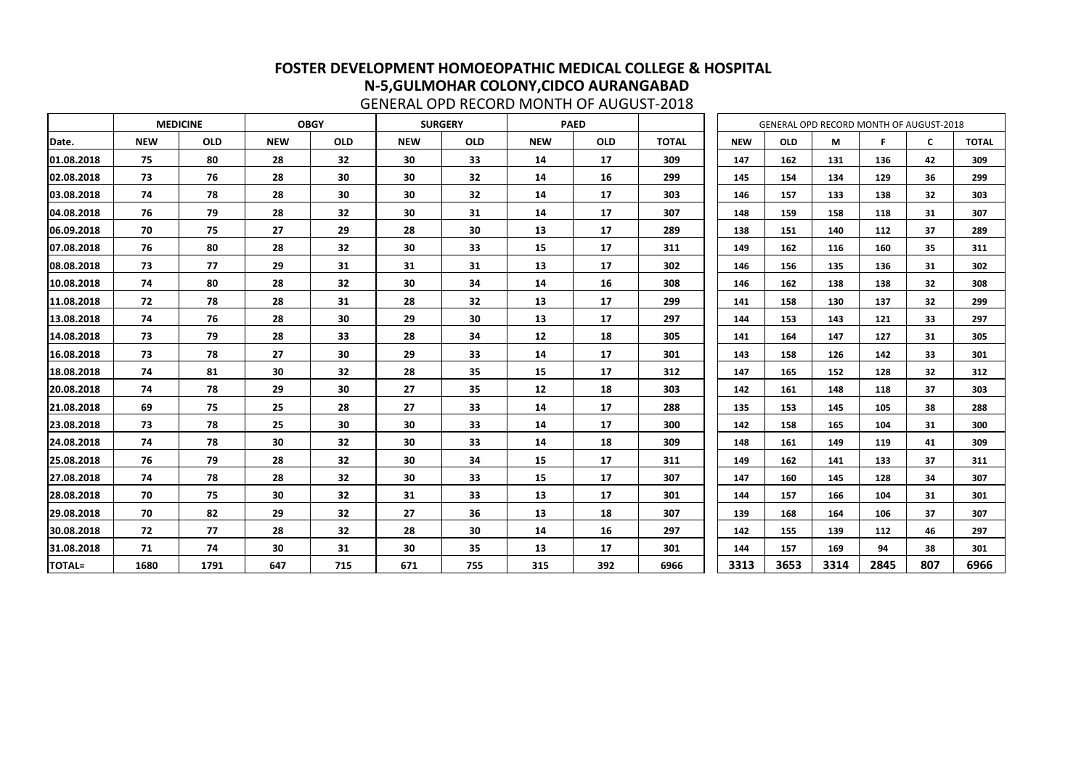|               |            | <b>MEDICINE</b> | <b>OBGY</b> |            |            | <b>SURGERY</b> |            | <b>PAED</b> |              |            |            |      | GENERAL OPD RECORD MONTH OF AUGUST-2018 |     |              |
|---------------|------------|-----------------|-------------|------------|------------|----------------|------------|-------------|--------------|------------|------------|------|-----------------------------------------|-----|--------------|
| Date.         | <b>NEW</b> | <b>OLD</b>      | <b>NEW</b>  | <b>OLD</b> | <b>NEW</b> | <b>OLD</b>     | <b>NEW</b> | <b>OLD</b>  | <b>TOTAL</b> | <b>NEW</b> | <b>OLD</b> | M    | F                                       | C   | <b>TOTAL</b> |
| 01.08.2018    | 75         | 80              | 28          | 32         | 30         | 33             | 14         | 17          | 309          | 147        | 162        | 131  | 136                                     | 42  | 309          |
| 02.08.2018    | 73         | 76              | 28          | 30         | 30         | 32             | 14         | 16          | 299          | 145        | 154        | 134  | 129                                     | 36  | 299          |
| 03.08.2018    | 74         | 78              | 28          | 30         | 30         | 32             | 14         | 17          | 303          | 146        | 157        | 133  | 138                                     | 32  | 303          |
| 04.08.2018    | 76         | 79              | 28          | 32         | 30         | 31             | 14         | 17          | 307          | 148        | 159        | 158  | 118                                     | 31  | 307          |
| 06.09.2018    | 70         | 75              | 27          | 29         | 28         | 30             | 13         | 17          | 289          | 138        | 151        | 140  | 112                                     | 37  | 289          |
| 07.08.2018    | 76         | 80              | 28          | 32         | 30         | 33             | 15         | 17          | 311          | 149        | 162        | 116  | 160                                     | 35  | 311          |
| 08.08.2018    | 73         | 77              | 29          | 31         | 31         | 31             | 13         | 17          | 302          | 146        | 156        | 135  | 136                                     | 31  | 302          |
| 10.08.2018    | 74         | 80              | 28          | 32         | 30         | 34             | 14         | 16          | 308          | 146        | 162        | 138  | 138                                     | 32  | 308          |
| 11.08.2018    | 72         | 78              | 28          | 31         | 28         | 32             | 13         | 17          | 299          | 141        | 158        | 130  | 137                                     | 32  | 299          |
| 13.08.2018    | 74         | 76              | 28          | 30         | 29         | 30             | 13         | 17          | 297          | 144        | 153        | 143  | 121                                     | 33  | 297          |
| 14.08.2018    | 73         | 79              | 28          | 33         | 28         | 34             | 12         | 18          | 305          | 141        | 164        | 147  | 127                                     | 31  | 305          |
| 16.08.2018    | 73         | 78              | 27          | 30         | 29         | 33             | 14         | 17          | 301          | 143        | 158        | 126  | 142                                     | 33  | 301          |
| 18.08.2018    | 74         | 81              | 30          | 32         | 28         | 35             | 15         | 17          | 312          | 147        | 165        | 152  | 128                                     | 32  | 312          |
| 20.08.2018    | 74         | 78              | 29          | 30         | 27         | 35             | 12         | 18          | 303          | 142        | 161        | 148  | 118                                     | 37  | 303          |
| 21.08.2018    | 69         | 75              | 25          | 28         | 27         | 33             | 14         | 17          | 288          | 135        | 153        | 145  | 105                                     | 38  | 288          |
| 23.08.2018    | 73         | 78              | 25          | 30         | 30         | 33             | 14         | 17          | 300          | 142        | 158        | 165  | 104                                     | 31  | 300          |
| 24.08.2018    | 74         | 78              | 30          | 32         | 30         | 33             | 14         | 18          | 309          | 148        | 161        | 149  | 119                                     | 41  | 309          |
| 25.08.2018    | 76         | 79              | 28          | 32         | 30         | 34             | 15         | 17          | 311          | 149        | 162        | 141  | 133                                     | 37  | 311          |
| 27.08.2018    | 74         | 78              | 28          | 32         | 30         | 33             | 15         | 17          | 307          | 147        | 160        | 145  | 128                                     | 34  | 307          |
| 28.08.2018    | 70         | 75              | 30          | 32         | 31         | 33             | 13         | 17          | 301          | 144        | 157        | 166  | 104                                     | 31  | 301          |
| 29.08.2018    | 70         | 82              | 29          | 32         | 27         | 36             | 13         | 18          | 307          | 139        | 168        | 164  | 106                                     | 37  | 307          |
| 30.08.2018    | 72         | 77              | 28          | 32         | 28         | 30             | 14         | 16          | 297          | 142        | 155        | 139  | 112                                     | 46  | 297          |
| 31.08.2018    | 71         | 74              | 30          | 31         | 30         | 35             | 13         | 17          | 301          | 144        | 157        | 169  | 94                                      | 38  | 301          |
| <b>TOTAL=</b> | 1680       | 1791            | 647         | 715        | 671        | 755            | 315        | 392         | 6966         | 3313       | 3653       | 3314 | 2845                                    | 807 | 6966         |

GENERAL OPD RECORD MONTH OF AUGUST-2018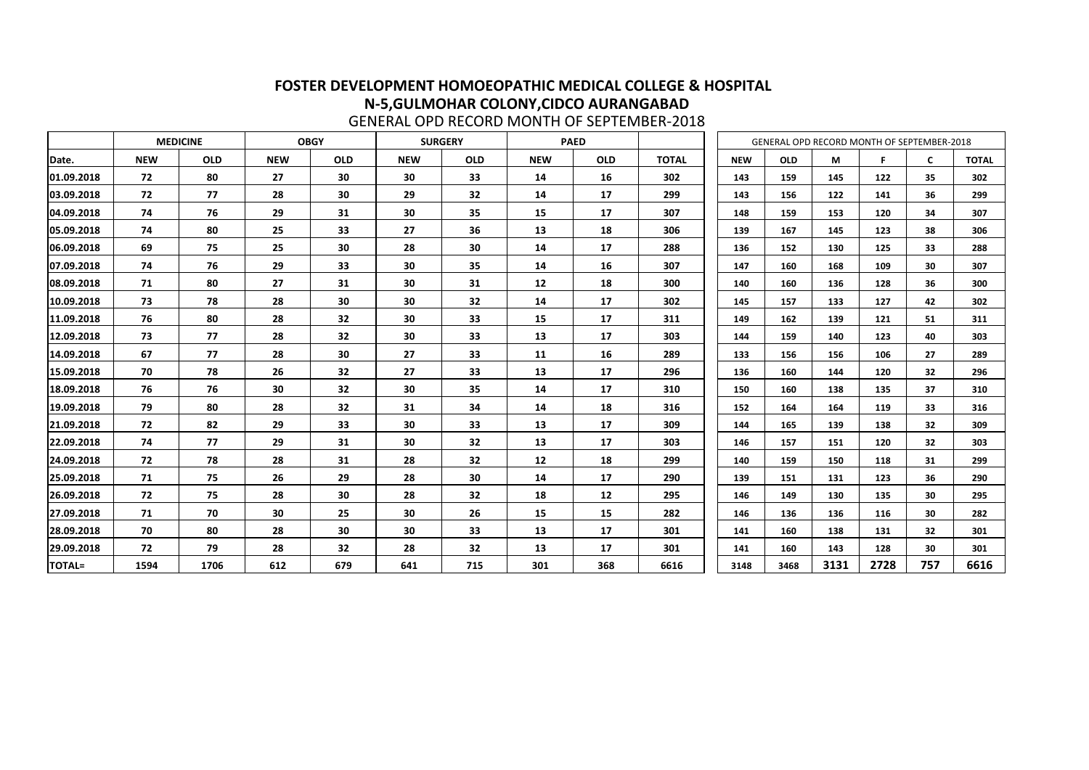|               |            | <b>MEDICINE</b><br><b>OBGY</b> |            |            |            | <b>SURGERY</b> |            | <b>PAED</b> |              |            |            |      | GENERAL OPD RECORD MONTH OF SEPTEMBER-2018 |              |              |
|---------------|------------|--------------------------------|------------|------------|------------|----------------|------------|-------------|--------------|------------|------------|------|--------------------------------------------|--------------|--------------|
| Date.         | <b>NEW</b> | <b>OLD</b>                     | <b>NEW</b> | <b>OLD</b> | <b>NEW</b> | <b>OLD</b>     | <b>NEW</b> | <b>OLD</b>  | <b>TOTAL</b> | <b>NEW</b> | <b>OLD</b> | M    | F                                          | $\mathsf{C}$ | <b>TOTAL</b> |
| 01.09.2018    | 72         | 80                             | 27         | 30         | 30         | 33             | 14         | <b>16</b>   | 302          | 143        | 159        | 145  | 122                                        | 35           | 302          |
| 03.09.2018    | 72         | 77                             | 28         | 30         | 29         | 32             | 14         | 17          | 299          | 143        | 156        | 122  | 141                                        | 36           | 299          |
| 04.09.2018    | 74         | 76                             | 29         | 31         | 30         | 35             | 15         | 17          | 307          | 148        | 159        | 153  | 120                                        | 34           | 307          |
| 05.09.2018    | 74         | 80                             | 25         | 33         | 27         | 36             | 13         | 18          | 306          | 139        | 167        | 145  | 123                                        | 38           | 306          |
| 06.09.2018    | 69         | 75                             | 25         | 30         | 28         | 30             | 14         | 17          | 288          | 136        | 152        | 130  | 125                                        | 33           | 288          |
| 07.09.2018    | 74         | 76                             | 29         | 33         | 30         | 35             | 14         | 16          | 307          | 147        | 160        | 168  | 109                                        | 30           | 307          |
| 08.09.2018    | 71         | 80                             | 27         | 31         | 30         | 31             | 12         | 18          | 300          | 140        | 160        | 136  | 128                                        | 36           | 300          |
| 10.09.2018    | 73         | 78                             | 28         | 30         | 30         | 32             | 14         | 17          | 302          | 145        | 157        | 133  | 127                                        | 42           | 302          |
| 11.09.2018    | 76         | 80                             | 28         | 32         | 30         | 33             | 15         | 17          | 311          | 149        | 162        | 139  | 121                                        | 51           | 311          |
| 12.09.2018    | 73         | 77                             | 28         | 32         | 30         | 33             | 13         | 17          | 303          | 144        | 159        | 140  | 123                                        | 40           | 303          |
| 14.09.2018    | 67         | 77                             | 28         | 30         | 27         | 33             | 11         | 16          | 289          | 133        | 156        | 156  | 106                                        | 27           | 289          |
| 15.09.2018    | 70         | 78                             | 26         | 32         | 27         | 33             | 13         | 17          | 296          | 136        | 160        | 144  | 120                                        | 32           | 296          |
| 18.09.2018    | 76         | 76                             | 30         | 32         | 30         | 35             | 14         | 17          | 310          | 150        | 160        | 138  | 135                                        | 37           | 310          |
| 19.09.2018    | 79         | 80                             | 28         | 32         | 31         | 34             | 14         | 18          | 316          | 152        | 164        | 164  | 119                                        | 33           | 316          |
| 21.09.2018    | 72         | 82                             | 29         | 33         | 30         | 33             | 13         | 17          | 309          | 144        | 165        | 139  | 138                                        | 32           | 309          |
| 22.09.2018    | 74         | 77                             | 29         | 31         | 30         | 32             | 13         | 17          | 303          | 146        | 157        | 151  | 120                                        | 32           | 303          |
| 24.09.2018    | 72         | 78                             | 28         | 31         | 28         | 32             | 12         | 18          | 299          | 140        | 159        | 150  | 118                                        | 31           | 299          |
| 25.09.2018    | 71         | 75                             | 26         | 29         | 28         | 30             | 14         | 17          | 290          | 139        | 151        | 131  | 123                                        | 36           | 290          |
| 26.09.2018    | 72         | 75                             | 28         | 30         | 28         | 32             | 18         | 12          | 295          | 146        | 149        | 130  | 135                                        | 30           | 295          |
| 27.09.2018    | 71         | 70                             | 30         | 25         | 30         | 26             | 15         | 15          | 282          | 146        | 136        | 136  | 116                                        | 30           | 282          |
| 28.09.2018    | 70         | 80                             | 28         | 30         | 30         | 33             | 13         | 17          | 301          | 141        | 160        | 138  | 131                                        | 32           | 301          |
| 29.09.2018    | 72         | 79                             | 28         | 32         | 28         | 32             | 13         | 17          | 301          | 141        | 160        | 143  | 128                                        | 30           | 301          |
| <b>TOTAL=</b> | 1594       | 1706                           | 612        | 679        | 641        | 715            | 301        | 368         | 6616         | 3148       | 3468       | 3131 | 2728                                       | 757          | 6616         |

GENERAL OPD RECORD MONTH OF SEPTEMBER-2018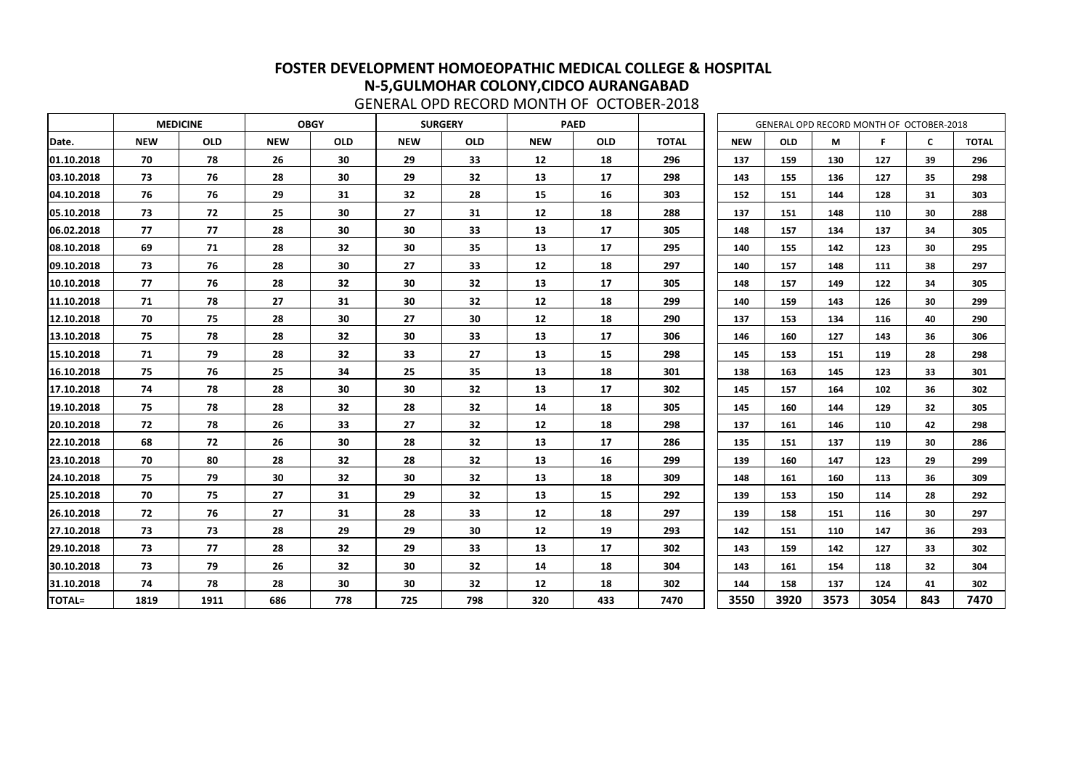|               | <b>MEDICINE</b><br><b>OBGY</b> |            |            |                 |            | <b>SURGERY</b> |            | <b>PAED</b> |              |            | GENERAL OPD RECORD MONTH OF OCTOBER-2018 |      |      |     |              |
|---------------|--------------------------------|------------|------------|-----------------|------------|----------------|------------|-------------|--------------|------------|------------------------------------------|------|------|-----|--------------|
| Date.         | <b>NEW</b>                     | <b>OLD</b> | <b>NEW</b> | <b>OLD</b>      | <b>NEW</b> | <b>OLD</b>     | <b>NEW</b> | <b>OLD</b>  | <b>TOTAL</b> | <b>NEW</b> | <b>OLD</b>                               | М    | F    | C   | <b>TOTAL</b> |
| 01.10.2018    | 70                             | 78         | 26         | 30              | 29         | 33             | 12         | 18          | 296          | 137        | 159                                      | 130  | 127  | 39  | 296          |
| 03.10.2018    | 73                             | 76         | 28         | 30              | 29         | 32             | 13         | 17          | 298          | 143        | 155                                      | 136  | 127  | 35  | 298          |
| 04.10.2018    | 76                             | 76         | 29         | 31              | 32         | 28             | 15         | 16          | 303          | 152        | 151                                      | 144  | 128  | 31  | 303          |
| 05.10.2018    | 73                             | 72         | 25         | 30              | 27         | 31             | 12         | 18          | 288          | 137        | 151                                      | 148  | 110  | 30  | 288          |
| 06.02.2018    | 77                             | 77         | 28         | 30              | 30         | 33             | 13         | 17          | 305          | 148        | 157                                      | 134  | 137  | 34  | 305          |
| 08.10.2018    | 69                             | 71         | 28         | 32 <sub>2</sub> | 30         | 35             | 13         | 17          | 295          | 140        | 155                                      | 142  | 123  | 30  | 295          |
| 09.10.2018    | 73                             | 76         | 28         | 30              | 27         | 33             | 12         | 18          | 297          | 140        | 157                                      | 148  | 111  | 38  | 297          |
| 10.10.2018    | 77                             | 76         | 28         | 32              | 30         | 32             | 13         | 17          | 305          | 148        | 157                                      | 149  | 122  | 34  | 305          |
| 11.10.2018    | 71                             | 78         | 27         | 31              | 30         | 32             | 12         | 18          | 299          | 140        | 159                                      | 143  | 126  | 30  | 299          |
| 12.10.2018    | 70                             | 75         | 28         | 30              | 27         | 30             | 12         | 18          | 290          | 137        | 153                                      | 134  | 116  | 40  | 290          |
| 13.10.2018    | 75                             | 78         | 28         | 32              | 30         | 33             | 13         | 17          | 306          | 146        | 160                                      | 127  | 143  | 36  | 306          |
| 15.10.2018    | 71                             | 79         | 28         | 32 <sub>2</sub> | 33         | 27             | 13         | 15          | 298          | 145        | 153                                      | 151  | 119  | 28  | 298          |
| 16.10.2018    | 75                             | 76         | 25         | 34              | 25         | 35             | 13         | 18          | 301          | 138        | 163                                      | 145  | 123  | 33  | 301          |
| 17.10.2018    | 74                             | 78         | 28         | 30              | 30         | 32             | 13         | 17          | 302          | 145        | 157                                      | 164  | 102  | 36  | 302          |
| 19.10.2018    | 75                             | 78         | 28         | 32              | 28         | 32             | 14         | 18          | 305          | 145        | 160                                      | 144  | 129  | 32  | 305          |
| 20.10.2018    | 72                             | 78         | 26         | 33              | 27         | 32             | 12         | 18          | 298          | 137        | 161                                      | 146  | 110  | 42  | 298          |
| 22.10.2018    | 68                             | 72         | 26         | 30              | 28         | 32             | 13         | 17          | 286          | 135        | 151                                      | 137  | 119  | 30  | 286          |
| 23.10.2018    | 70                             | 80         | 28         | 32              | 28         | 32             | 13         | 16          | 299          | 139        | 160                                      | 147  | 123  | 29  | 299          |
| 24.10.2018    | 75                             | 79         | 30         | 32 <sub>2</sub> | 30         | 32             | 13         | 18          | 309          | 148        | 161                                      | 160  | 113  | 36  | 309          |
| 25.10.2018    | 70                             | 75         | 27         | 31              | 29         | 32             | 13         | 15          | 292          | 139        | 153                                      | 150  | 114  | 28  | 292          |
| 26.10.2018    | 72                             | 76         | 27         | 31              | 28         | 33             | 12         | 18          | 297          | 139        | 158                                      | 151  | 116  | 30  | 297          |
| 27.10.2018    | 73                             | 73         | 28         | 29              | 29         | 30             | 12         | 19          | 293          | 142        | 151                                      | 110  | 147  | 36  | 293          |
| 29.10.2018    | 73                             | 77         | 28         | 32              | 29         | 33             | 13         | 17          | 302          | 143        | 159                                      | 142  | 127  | 33  | 302          |
| 30.10.2018    | 73                             | 79         | 26         | 32              | 30         | 32             | 14         | 18          | 304          | 143        | 161                                      | 154  | 118  | 32  | 304          |
| 31.10.2018    | 74                             | 78         | 28         | 30              | 30         | 32             | 12         | 18          | 302          | 144        | 158                                      | 137  | 124  | 41  | 302          |
| <b>TOTAL=</b> | 1819                           | 1911       | 686        | 778             | 725        | 798            | 320        | 433         | 7470         | 3550       | 3920                                     | 3573 | 3054 | 843 | 7470         |

GENERAL OPD RECORD MONTH OF OCTOBER-2018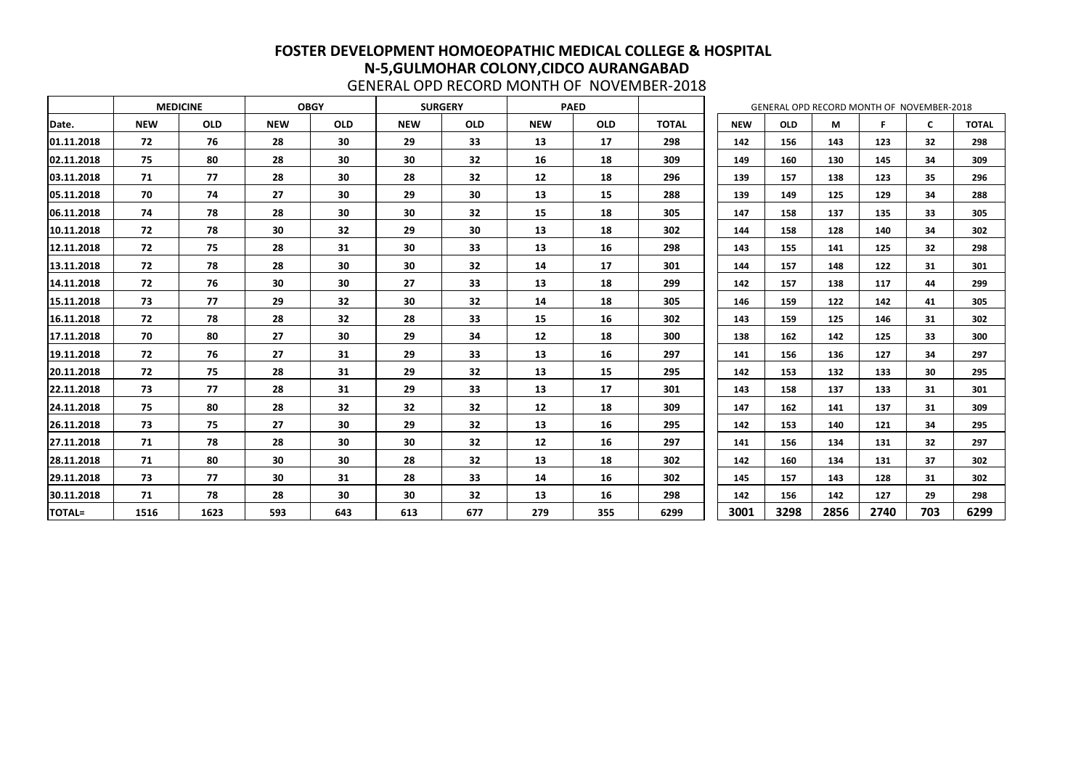|               |            | <b>MEDICINE</b><br><b>OBGY</b> |            |            |            | <b>SURGERY</b> |            | <b>PAED</b> |              |            |            |      | GENERAL OPD RECORD MONTH OF NOVEMBER-2018 |                 |              |
|---------------|------------|--------------------------------|------------|------------|------------|----------------|------------|-------------|--------------|------------|------------|------|-------------------------------------------|-----------------|--------------|
| Date.         | <b>NEW</b> | <b>OLD</b>                     | <b>NEW</b> | <b>OLD</b> | <b>NEW</b> | <b>OLD</b>     | <b>NEW</b> | <b>OLD</b>  | <b>TOTAL</b> | <b>NEW</b> | <b>OLD</b> | M    | F.                                        | C               | <b>TOTAL</b> |
| 01.11.2018    | 72         | 76                             | 28         | 30         | 29         | 33             | 13         | 17          | 298          | 142        | 156        | 143  | 123                                       | 32 <sub>2</sub> | 298          |
| 02.11.2018    | 75         | 80                             | 28         | 30         | 30         | 32             | 16         | 18          | 309          | 149        | 160        | 130  | 145                                       | 34              | 309          |
| 03.11.2018    | 71         | 77                             | 28         | 30         | 28         | 32             | 12         | 18          | 296          | 139        | 157        | 138  | 123                                       | 35              | 296          |
| 05.11.2018    | 70         | 74                             | 27         | 30         | 29         | 30             | 13         | 15          | 288          | 139        | 149        | 125  | 129                                       | 34              | 288          |
| 06.11.2018    | 74         | 78                             | 28         | 30         | 30         | 32             | 15         | 18          | 305          | 147        | 158        | 137  | 135                                       | 33              | 305          |
| 10.11.2018    | 72         | 78                             | 30         | 32         | 29         | 30             | 13         | 18          | 302          | 144        | 158        | 128  | 140                                       | 34              | 302          |
| 12.11.2018    | 72         | 75                             | 28         | 31         | 30         | 33             | 13         | 16          | 298          | 143        | 155        | 141  | 125                                       | 32              | 298          |
| 13.11.2018    | 72         | 78                             | 28         | 30         | 30         | 32             | 14         | 17          | 301          | 144        | 157        | 148  | 122                                       | 31              | 301          |
| 14.11.2018    | 72         | 76                             | 30         | 30         | 27         | 33             | 13         | 18          | 299          | 142        | 157        | 138  | 117                                       | 44              | 299          |
| 15.11.2018    | 73         | 77                             | 29         | 32         | 30         | 32             | 14         | 18          | 305          | 146        | 159        | 122  | 142                                       | 41              | 305          |
| 16.11.2018    | 72         | 78                             | 28         | 32         | 28         | 33             | 15         | 16          | 302          | 143        | 159        | 125  | 146                                       | 31              | 302          |
| 17.11.2018    | 70         | 80                             | 27         | 30         | 29         | 34             | 12         | 18          | 300          | 138        | 162        | 142  | 125                                       | 33              | 300          |
| 19.11.2018    | 72         | 76                             | 27         | 31         | 29         | 33             | 13         | 16          | 297          | 141        | 156        | 136  | 127                                       | 34              | 297          |
| 20.11.2018    | 72         | 75                             | 28         | 31         | 29         | 32             | 13         | 15          | 295          | 142        | 153        | 132  | 133                                       | 30              | 295          |
| 22.11.2018    | 73         | 77                             | 28         | 31         | 29         | 33             | 13         | 17          | 301          | 143        | 158        | 137  | 133                                       | 31              | 301          |
| 24.11.2018    | 75         | 80                             | 28         | 32         | 32         | 32             | 12         | 18          | 309          | 147        | 162        | 141  | 137                                       | 31              | 309          |
| 26.11.2018    | 73         | 75                             | 27         | 30         | 29         | 32             | 13         | 16          | 295          | 142        | 153        | 140  | 121                                       | 34              | 295          |
| 27.11.2018    | 71         | 78                             | 28         | 30         | 30         | 32             | 12         | 16          | 297          | 141        | 156        | 134  | 131                                       | 32              | 297          |
| 28.11.2018    | 71         | 80                             | 30         | 30         | 28         | 32             | 13         | 18          | 302          | 142        | 160        | 134  | 131                                       | 37              | 302          |
| 29.11.2018    | 73         | 77                             | 30         | 31         | 28         | 33             | 14         | 16          | 302          | 145        | 157        | 143  | 128                                       | 31              | 302          |
| 30.11.2018    | 71         | 78                             | 28         | 30         | 30         | 32             | 13         | 16          | 298          | 142        | 156        | 142  | 127                                       | 29              | 298          |
| <b>TOTAL=</b> | 1516       | 1623                           | 593        | 643        | 613        | 677            | 279        | 355         | 6299         | 3001       | 3298       | 2856 | 2740                                      | 703             | 6299         |

GENERAL OPD RECORD MONTH OF NOVEMBER-2018